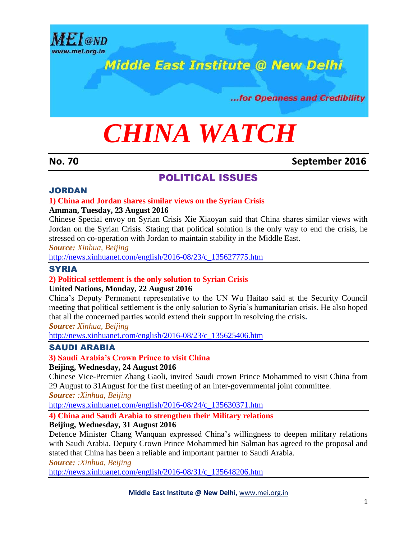

## **Middle East Institute @ New Delhi**

...for Openness and Credibility

# *CHINA WATCH*

#### **No. 70 September 2016**

#### POLITICAL ISSUES

#### JORDAN

#### **1) China and Jordan shares similar views on the Syrian Crisis**

#### **Amman, Tuesday, 23 August 2016**

Chinese Special envoy on Syrian Crisis Xie Xiaoyan said that China shares similar views with Jordan on the Syrian Crisis. Stating that political solution is the only way to end the crisis, he stressed on co-operation with Jordan to maintain stability in the Middle East.

*Source: Xinhua, Beijing*

[http://news.xinhuanet.com/english/2016-08/23/c\\_135627775.htm](http://news.xinhuanet.com/english/2016-08/23/c_135627775.htm)

#### **SYRIA**

#### **2) Political settlement is the only solution to Syrian Crisis**

#### **United Nations, Monday, 22 August 2016**

China's Deputy Permanent representative to the UN Wu Haitao said at the Security Council meeting that political settlement is the only solution to Syria's humanitarian crisis. He also hoped that all the concerned parties would extend their support in resolving the crisis**.**

*Source: Xinhua, Beijing*

[http://news.xinhuanet.com/english/2016-08/23/c\\_135625406.htm](http://news.xinhuanet.com/english/2016-08/23/c_135625406.htm)

#### SAUDI ARABIA

#### **3) Saudi Arabia's Crown Prince to visit China**

#### **Beijing, Wednesday, 24 August 2016**

Chinese Vice-Premier Zhang Gaoli, invited Saudi crown Prince Mohammed to visit China from 29 August to 31August for the first meeting of an inter-governmental joint committee.

*Source: :Xinhua, Beijing*

[http://news.xinhuanet.com/english/2016-08/24/c\\_135630371.htm](http://news.xinhuanet.com/english/2016-08/24/c_135630371.htm)

#### **4) China and Saudi Arabia to strengthen their Military relations**

#### **Beijing, Wednesday, 31 August 2016**

Defence Minister Chang Wanquan expressed China's willingness to deepen military relations with Saudi Arabia. Deputy Crown Prince Mohammed bin Salman has agreed to the proposal and stated that China has been a reliable and important partner to Saudi Arabia.

*Source: :Xinhua, Beijing* [http://news.xinhuanet.com/english/2016-08/31/c\\_135648206.htm](http://news.xinhuanet.com/english/2016-08/31/c_135648206.htm)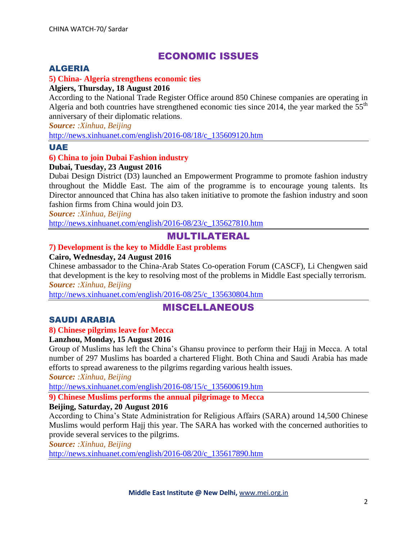### ECONOMIC ISSUES

#### ALGERIA

#### **5) China- Algeria strengthens economic ties**

#### **Algiers, Thursday, 18 August 2016**

According to the National Trade Register Office around 850 Chinese companies are operating in Algeria and both countries have strengthened economic ties since 2014, the year marked the  $55<sup>th</sup>$ anniversary of their diplomatic relations.

*Source: :Xinhua, Beijing*

[http://news.xinhuanet.com/english/2016-08/18/c\\_135609120.htm](http://news.xinhuanet.com/english/2016-08/18/c_135609120.htm)

#### UAE

#### **6) China to join Dubai Fashion industry**

#### **Dubai, Tuesday, 23 August 2016**

Dubai Design District (D3) launched an Empowerment Programme to promote fashion industry throughout the Middle East. The aim of the programme is to encourage young talents. Its Director announced that China has also taken initiative to promote the fashion industry and soon fashion firms from China would join D3.

*Source: :Xinhua, Beijing*

[http://news.xinhuanet.com/english/2016-08/23/c\\_135627810.htm](http://news.xinhuanet.com/english/2016-08/23/c_135627810.htm)

#### MULTILATERAL

#### **7) Development is the key to Middle East problems**

#### **Cairo, Wednesday, 24 August 2016**

Chinese ambassador to the China-Arab States Co-operation Forum (CASCF), Li Chengwen said that development is the key to resolving most of the problems in Middle East specially terrorism. *Source: :Xinhua, Beijing*

[http://news.xinhuanet.com/english/2016-08/25/c\\_135630804.htm](http://news.xinhuanet.com/english/2016-08/25/c_135630804.htm)

#### MISCELLANEOUS

#### SAUDI ARABIA

#### **8) Chinese pilgrims leave for Mecca**

#### **Lanzhou, Monday, 15 August 2016**

Group of Muslims has left the China's Ghansu province to perform their Hajj in Mecca. A total number of 297 Muslims has boarded a chartered Flight. Both China and Saudi Arabia has made efforts to spread awareness to the pilgrims regarding various health issues.

*Source: :Xinhua, Beijing*

[http://news.xinhuanet.com/english/2016-08/15/c\\_135600619.htm](http://news.xinhuanet.com/english/2016-08/15/c_135600619.htm)

#### **9) Chinese Muslims performs the annual pilgrimage to Mecca**

#### **Beijing, Saturday, 20 August 2016**

According to China's State Administration for Religious Affairs (SARA) around 14,500 Chinese Muslims would perform Hajj this year. The SARA has worked with the concerned authorities to provide several services to the pilgrims.

*Source: :Xinhua, Beijing*

[http://news.xinhuanet.com/english/2016-08/20/c\\_135617890.htm](http://news.xinhuanet.com/english/2016-08/20/c_135617890.htm)